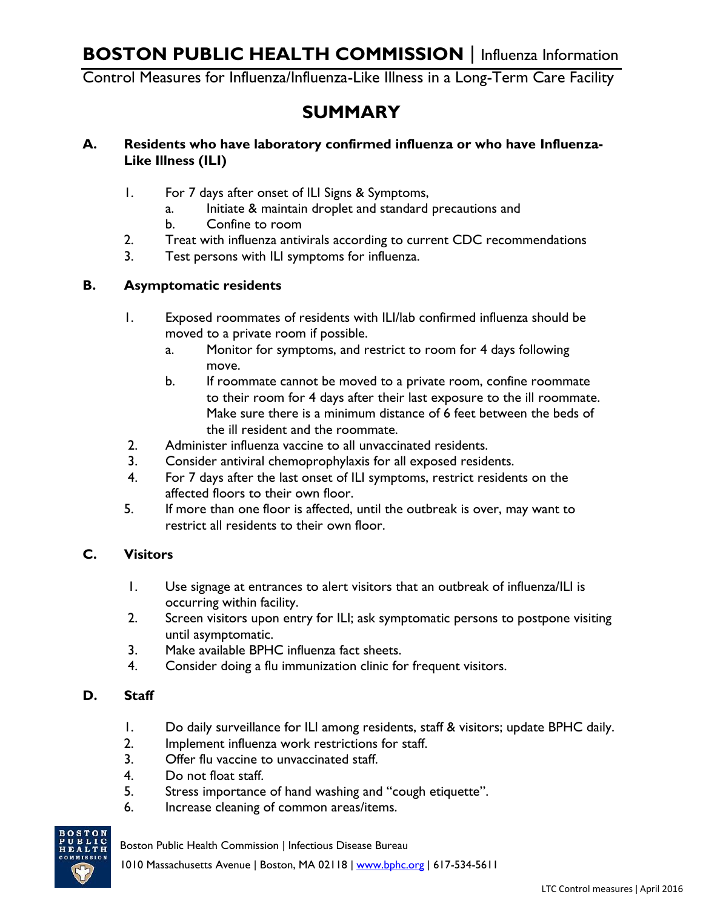Control Measures for Influenza/Influenza-Like Illness in a Long-Term Care Facility

# **SUMMARY**

#### **A. Residents who have laboratory confirmed influenza or who have Influenza-Like Illness (ILI)**

- 1. For 7 days after onset of ILI Signs & Symptoms,
	- a. Initiate & maintain droplet and standard precautions and
	- b. Confine to room
- 2. Treat with influenza antivirals according to current CDC recommendations
- 3. Test persons with ILI symptoms for influenza.

#### **B. Asymptomatic residents**

- 1. Exposed roommates of residents with ILI/lab confirmed influenza should be moved to a private room if possible.
	- a. Monitor for symptoms, and restrict to room for 4 days following move.
	- b. If roommate cannot be moved to a private room, confine roommate to their room for 4 days after their last exposure to the ill roommate. Make sure there is a minimum distance of 6 feet between the beds of the ill resident and the roommate.
- 2. Administer influenza vaccine to all unvaccinated residents.
- 3. Consider antiviral chemoprophylaxis for all exposed residents.
- 4. For 7 days after the last onset of ILI symptoms, restrict residents on the affected floors to their own floor.
- 5. If more than one floor is affected, until the outbreak is over, may want to restrict all residents to their own floor.

#### **C. Visitors**

- 1. Use signage at entrances to alert visitors that an outbreak of influenza/ILI is occurring within facility.
- 2. Screen visitors upon entry for ILI; ask symptomatic persons to postpone visiting until asymptomatic.
- 3. Make available BPHC influenza fact sheets.
- 4. Consider doing a flu immunization clinic for frequent visitors.

#### **D. Staff**

- 1. Do daily surveillance for ILI among residents, staff & visitors; update BPHC daily.
- 2. Implement influenza work restrictions for staff.
- 3. Offer flu vaccine to unvaccinated staff.
- 4. Do not float staff.
- 5. Stress importance of hand washing and "cough etiquette".
- 6. Increase cleaning of common areas/items.



Boston Public Health Commission | Infectious Disease Bureau

1010 Massachusetts Avenue | Boston, MA 02118 | www.bphc.org | 617-534-5611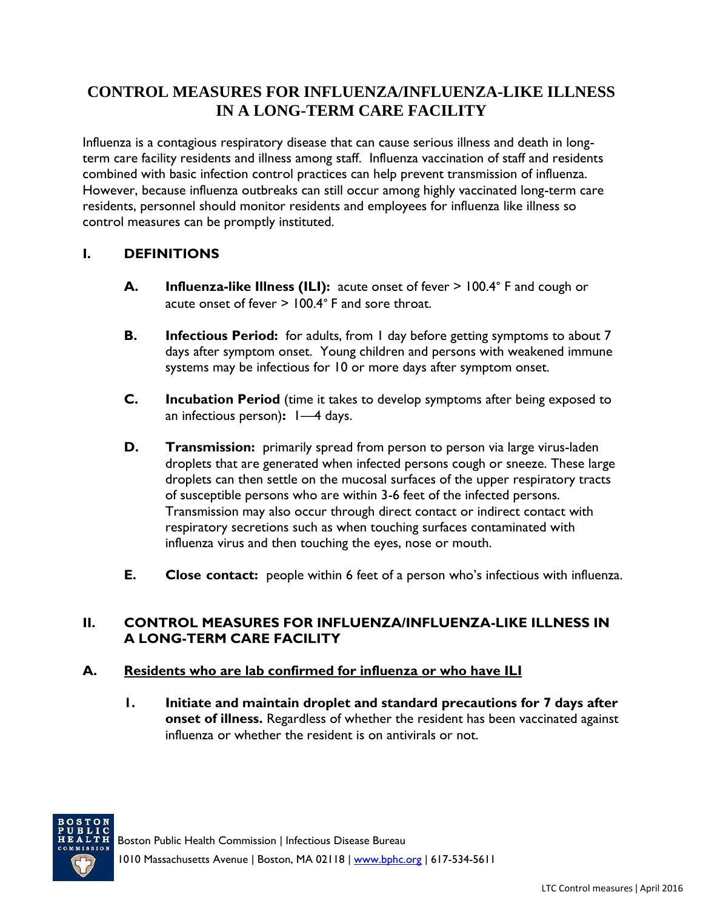## **CONTROL MEASURES FOR INFLUENZA/INFLUENZA-LIKE ILLNESS IN A LONG-TERM CARE FACILITY**

Influenza is a contagious respiratory disease that can cause serious illness and death in longterm care facility residents and illness among staff. Influenza vaccination of staff and residents combined with basic infection control practices can help prevent transmission of influenza. However, because influenza outbreaks can still occur among highly vaccinated long-term care residents, personnel should monitor residents and employees for influenza like illness so control measures can be promptly instituted.

## **I. DEFINITIONS**

- **A. Influenza-like Illness (ILI):** acute onset of fever > 100.4° F and cough or acute onset of fever > 100.4° F and sore throat.
- **B. Infectious Period:** for adults, from 1 day before getting symptoms to about 7 days after symptom onset. Young children and persons with weakened immune systems may be infectious for 10 or more days after symptom onset.
- **C. Incubation Period** (time it takes to develop symptoms after being exposed to an infectious person)**:** 1—4 days.
- **D. Transmission:** primarily spread from person to person via large virus-laden droplets that are generated when infected persons cough or sneeze. These large droplets can then settle on the mucosal surfaces of the upper respiratory tracts of susceptible persons who are within 3-6 feet of the infected persons. Transmission may also occur through direct contact or indirect contact with respiratory secretions such as when touching surfaces contaminated with influenza virus and then touching the eyes, nose or mouth.
- **E. Close contact:** people within 6 feet of a person who's infectious with influenza.

#### **II. CONTROL MEASURES FOR INFLUENZA/INFLUENZA-LIKE ILLNESS IN A LONG-TERM CARE FACILITY**

#### **A. Residents who are lab confirmed for influenza or who have ILI**

**1. Initiate and maintain droplet and standard precautions for 7 days after onset of illness.** Regardless of whether the resident has been vaccinated against influenza or whether the resident is on antivirals or not.

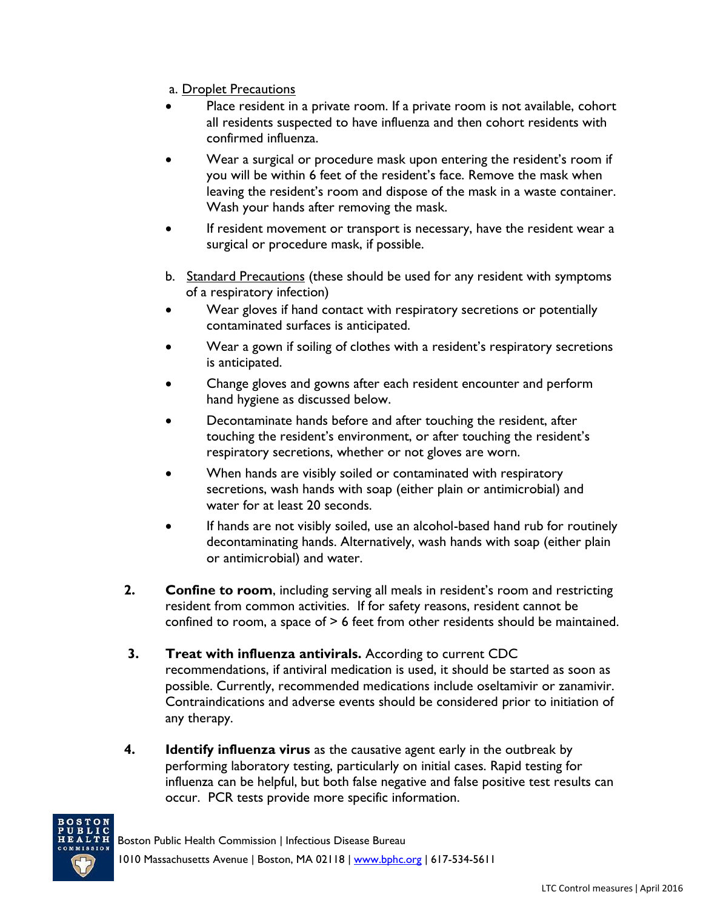- a. Droplet Precautions
- Place resident in a private room. If a private room is not available, cohort all residents suspected to have influenza and then cohort residents with confirmed influenza.
- Wear a surgical or procedure mask upon entering the resident's room if you will be within 6 feet of the resident's face. Remove the mask when leaving the resident's room and dispose of the mask in a waste container. Wash your hands after removing the mask.
- If resident movement or transport is necessary, have the resident wear a surgical or procedure mask, if possible.
- b. [Standard Precautions](http://www.cdc.gov/ncidod/dhqp/gl_isolation_standard.html) (these should be used for any resident with symptoms of a respiratory infection)
- Wear gloves if hand contact with respiratory secretions or potentially contaminated surfaces is anticipated.
- Wear a gown if soiling of clothes with a resident's respiratory secretions is anticipated.
- Change gloves and gowns after each resident encounter and perform hand hygiene as discussed below.
- Decontaminate hands before and after touching the resident, after touching the resident's environment, or after touching the resident's respiratory secretions, whether or not gloves are worn.
- When hands are visibly soiled or contaminated with respiratory secretions, wash hands with soap (either plain or antimicrobial) and water for at least 20 seconds.
- If hands are not visibly soiled, use an alcohol-based hand rub for routinely decontaminating hands. Alternatively, wash hands with soap (either plain or antimicrobial) and water.
- **2. Confine to room**, including serving all meals in resident's room and restricting resident from common activities. If for safety reasons, resident cannot be confined to room, a space of > 6 feet from other residents should be maintained.
- **3. Treat with influenza antivirals.** According to current CDC recommendations, if antiviral medication is used, it should be started as soon as possible. Currently, recommended medications include oseltamivir or zanamivir. Contraindications and adverse events should be considered prior to initiation of any therapy.
- **4. Identify influenza virus** as the causative agent early in the outbreak by performing laboratory testing, particularly on initial cases. Rapid testing for influenza can be helpful, but both false negative and false positive test results can occur. PCR tests provide more specific information.

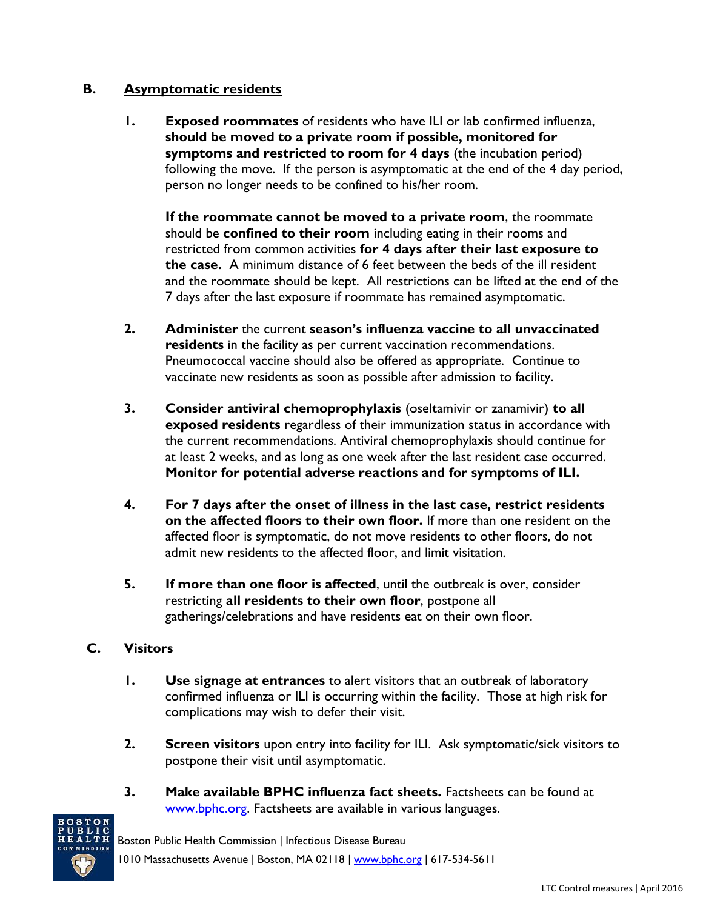#### **B. Asymptomatic residents**

**1. Exposed roommates** of residents who have ILI or lab confirmed influenza, **should be moved to a private room if possible, monitored for symptoms and restricted to room for 4 days** (the incubation period) following the move. If the person is asymptomatic at the end of the 4 day period, person no longer needs to be confined to his/her room.

**If the roommate cannot be moved to a private room**, the roommate should be **confined to their room** including eating in their rooms and restricted from common activities **for 4 days after their last exposure to the case.** A minimum distance of 6 feet between the beds of the ill resident and the roommate should be kept. All restrictions can be lifted at the end of the 7 days after the last exposure if roommate has remained asymptomatic.

- **2. Administer** the current **season's influenza vaccine to all unvaccinated residents** in the facility as per current vaccination recommendations. Pneumococcal vaccine should also be offered as appropriate. Continue to vaccinate new residents as soon as possible after admission to facility.
- **3. Consider antiviral chemoprophylaxis** (oseltamivir or zanamivir) **to all exposed residents** regardless of their immunization status in accordance with the current recommendations. Antiviral chemoprophylaxis should continue for at least 2 weeks, and as long as one week after the last resident case occurred. **Monitor for potential adverse reactions and for symptoms of ILI.**
- **4. For 7 days after the onset of illness in the last case, restrict residents on the affected floors to their own floor.** If more than one resident on the affected floor is symptomatic, do not move residents to other floors, do not admit new residents to the affected floor, and limit visitation.
- **5. If more than one floor is affected**, until the outbreak is over, consider restricting **all residents to their own floor**, postpone all gatherings/celebrations and have residents eat on their own floor.

## **C. Visitors**

- **1. Use signage at entrances** to alert visitors that an outbreak of laboratory confirmed influenza or ILI is occurring within the facility. Those at high risk for complications may wish to defer their visit.
- **2. Screen visitors** upon entry into facility for ILI. Ask symptomatic/sick visitors to postpone their visit until asymptomatic.
- **3. Make available BPHC influenza fact sheets.** Factsheets can be found at [www.bphc.org.](http://www.bphc.org/) Factsheets are available in various languages.